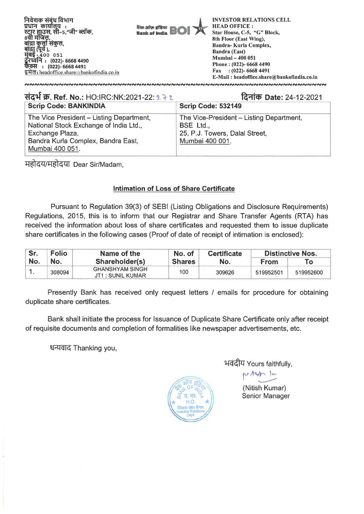

| संदर्भ क्र. Ref. No.: HO:IRC:NK:2021-22: 272                                                                                                                   | दिनांक Date: 24-12-2021                                                                                    |
|----------------------------------------------------------------------------------------------------------------------------------------------------------------|------------------------------------------------------------------------------------------------------------|
| <b>Scrip Code: BANKINDIA</b>                                                                                                                                   | Scrip Code: 532149                                                                                         |
| The Vice President - Listing Department,<br>National Stock Exchange of India Ltd.,<br>Exchange Plaza,<br>Bandra Kurla Complex, Bandra East,<br>Mumbai 400 051. | The Vice-President - Listing Department,<br>BSE Ltd.,<br>25, P.J. Towers, Dalal Street,<br>Mumbai 400 001. |

महोदय/महोदया Dear Sir/Madam,

## **Intimation of Loss of Share Certificate**

Pursuant to Regulation 39(3) of SEBI (Listing Obligations and Disclosure Requirements) Regulations, 2015, this is to inform that our Registrar and Share Transfer Agents (RTA) has received the information about loss of share certificates and requested them to issue duplicate share certificates in the following cases (Proof of date of receipt of intimation is enclosed):

| Sr. | <b>Folio</b> | Name of the                                 | No. of        | <b>Certificate</b> | <b>Distinctive Nos.</b> |           |
|-----|--------------|---------------------------------------------|---------------|--------------------|-------------------------|-----------|
| No. | No.          | Shareholder(s)                              | <b>Shares</b> | No.                | <b>From</b>             | Т٥        |
|     | 308094       | <b>GHANSHYAM SINGH</b><br>JT1 : SUNIL KUMAR | 100           | 309626             | 519952501               | 519952600 |

Presently Bank has received only request letters / emails for procedure for obtaining duplicate share certificates.

Bank shall initiate the process for Issuance of Duplicate Share Certificate only after receipt of requisite documents and completion of formalities like newspaper advertisements, etc.

धन्यवाद Thanking you,



भवदीय Yours faithfully,<br>|स्योगकालिक

(Nitish Kumar) Senior Manager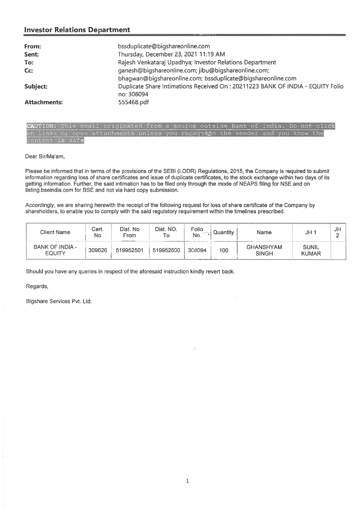## **Investor Relations Department**

| From:               | bssduplicate@bigshareonline.com                                                 |
|---------------------|---------------------------------------------------------------------------------|
| Sent:               | Thursday, December 23, 2021 11:19 AM                                            |
| To:                 | Rajesh Venkataraj Upadhya; Investor Relations Department                        |
| Cc:                 | ganesh@bigshareonline.com; jibu@bigshareonline.com;                             |
|                     | bhaqwan@biqshareonline.com; bssduplicate@biqshareonline.com                     |
| Subject:            | Duplicate Share Intimations Received On : 20211223 BANK OF INDIA - EQUITY Folio |
|                     | no: 308094                                                                      |
| <b>Attachments:</b> | 555468.pdf                                                                      |

CAUTION: This email originated from a source outside Bank of India. Do not click on links or open attachments unless you recognize the sender and you know the content is safe

Dear Sir/Ma'am,

Please be informed that in terms of the provisions of the SEBI (LODR) Regulations, 2015, the Company is required to submit information regarding loss of share certificates and issue of duplicate certificates, to the stock exchange within two days of its getting information. Further, the said intimation has to be filed only through the mode of NEAPS filing for NSE and on listing.bseindia.com for BSE and not via hard copy submission.

Accordingly, we are sharing herewith the receipt of the following request for loss of share certificate of the Company by shareholders, to enable you to comply with the said regulatory requirement within the timelines prescribed.

| Client Name               | Cert.<br>No | Dist. No<br>From | Dist. NO.<br>To | Folio<br>No. | Quantity<br><b>Name</b> |                                  | JH <sub>1</sub>              | JF<br>o<br>- |
|---------------------------|-------------|------------------|-----------------|--------------|-------------------------|----------------------------------|------------------------------|--------------|
| BANK OF INDIA -<br>EQUITY | 309626      | 519952501        | 519952600       | 308094       | 100                     | <b>GHANSHYAM</b><br><b>SINGH</b> | <b>SUNIL</b><br><b>KUMAR</b> |              |

Should you have any queries in respect of the aforesaid instruction kindly revert back.

Regards,

Bigshare Services Pvt. Ltd.